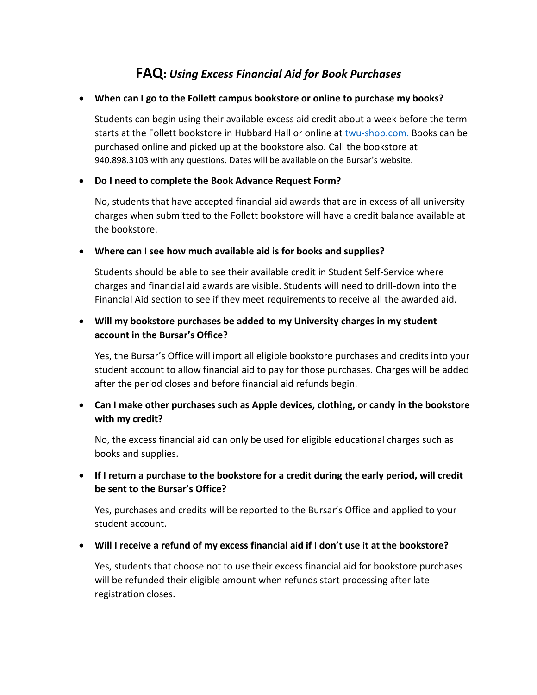# **FAQ:** *Using Excess Financial Aid for Book Purchases*

#### **When can I go to the Follett campus bookstore or online to purchase my books?**

Students can begin using their available excess aid credit about a week before the term starts at the Follett bookstore in Hubbard Hall or online at [twu-shop.com.](https://www.bkstr.com/texaswomansstore/home) Books can be purchased online and picked up at the bookstore also. Call the bookstore at 940.898.3103 with any questions. Dates will be available on the Bursar's website.

#### **Do I need to complete the Book Advance Request Form?**

No, students that have accepted financial aid awards that are in excess of all university charges when submitted to the Follett bookstore will have a credit balance available at the bookstore.

#### **Where can I see how much available aid is for books and supplies?**

Students should be able to see their available credit in Student Self-Service where charges and financial aid awards are visible. Students will need to drill-down into the Financial Aid section to see if they meet requirements to receive all the awarded aid.

## **Will my bookstore purchases be added to my University charges in my student account in the Bursar's Office?**

Yes, the Bursar's Office will import all eligible bookstore purchases and credits into your student account to allow financial aid to pay for those purchases. Charges will be added after the period closes and before financial aid refunds begin.

## **Can I make other purchases such as Apple devices, clothing, or candy in the bookstore with my credit?**

No, the excess financial aid can only be used for eligible educational charges such as books and supplies.

## **If I return a purchase to the bookstore for a credit during the early period, will credit be sent to the Bursar's Office?**

Yes, purchases and credits will be reported to the Bursar's Office and applied to your student account.

#### **Will I receive a refund of my excess financial aid if I don't use it at the bookstore?**

Yes, students that choose not to use their excess financial aid for bookstore purchases will be refunded their eligible amount when refunds start processing after late registration closes.